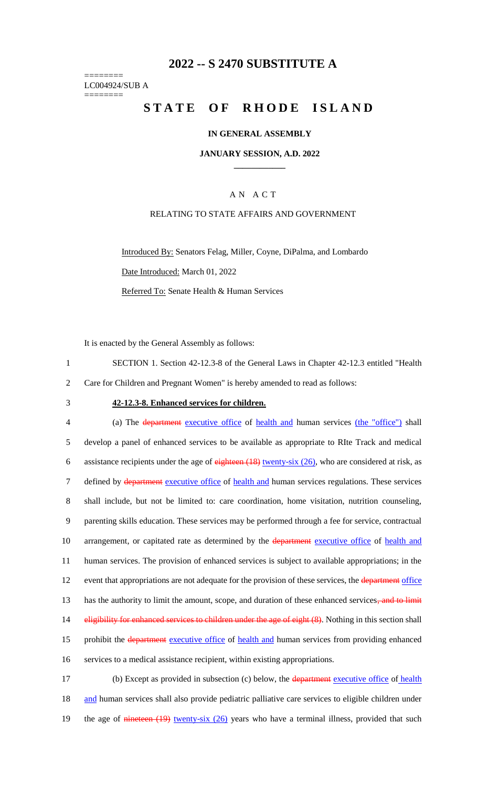# **2022 -- S 2470 SUBSTITUTE A**

======== LC004924/SUB A ========

# **STATE OF RHODE ISLAND**

### **IN GENERAL ASSEMBLY**

### **JANUARY SESSION, A.D. 2022 \_\_\_\_\_\_\_\_\_\_\_\_**

## A N A C T

## RELATING TO STATE AFFAIRS AND GOVERNMENT

Introduced By: Senators Felag, Miller, Coyne, DiPalma, and Lombardo Date Introduced: March 01, 2022 Referred To: Senate Health & Human Services

It is enacted by the General Assembly as follows:

1 SECTION 1. Section 42-12.3-8 of the General Laws in Chapter 42-12.3 entitled "Health 2 Care for Children and Pregnant Women" is hereby amended to read as follows:

#### 3 **42-12.3-8. Enhanced services for children.**

4 (a) The department executive office of health and human services (the "office") shall 5 develop a panel of enhanced services to be available as appropriate to RIte Track and medical 6 assistance recipients under the age of  $\frac{e^{i\theta}}{e^{i\theta}}$  (18) twenty-six (26), who are considered at risk, as 7 defined by department executive office of health and human services regulations. These services 8 shall include, but not be limited to: care coordination, home visitation, nutrition counseling, 9 parenting skills education. These services may be performed through a fee for service, contractual 10 arrangement, or capitated rate as determined by the **department** executive office of health and 11 human services. The provision of enhanced services is subject to available appropriations; in the 12 event that appropriations are not adequate for the provision of these services, the department office 13 has the authority to limit the amount, scope, and duration of these enhanced services, and to limit 14 eligibility for enhanced services to children under the age of eight (8). Nothing in this section shall 15 prohibit the department executive office of health and human services from providing enhanced 16 services to a medical assistance recipient, within existing appropriations. 17 (b) Except as provided in subsection (c) below, the department executive office of health

18 and human services shall also provide pediatric palliative care services to eligible children under 19 the age of nineteen (19) twenty-six (26) years who have a terminal illness, provided that such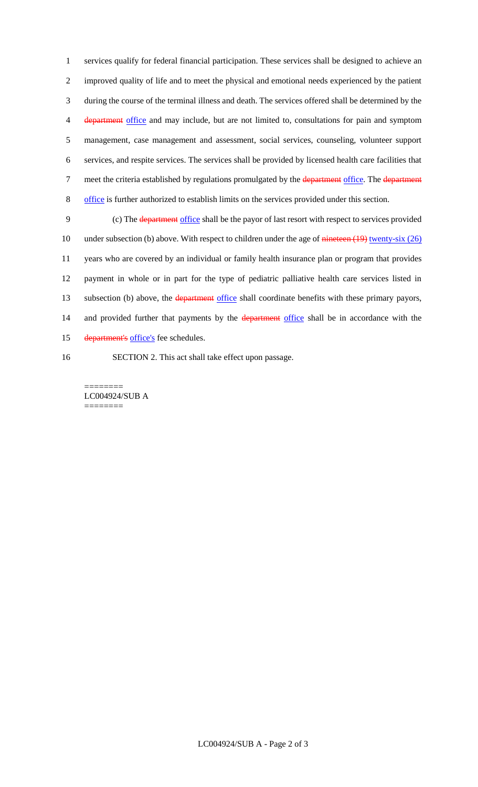services qualify for federal financial participation. These services shall be designed to achieve an improved quality of life and to meet the physical and emotional needs experienced by the patient during the course of the terminal illness and death. The services offered shall be determined by the department office and may include, but are not limited to, consultations for pain and symptom management, case management and assessment, social services, counseling, volunteer support services, and respite services. The services shall be provided by licensed health care facilities that 7 meet the criteria established by regulations promulgated by the department office. The department office is further authorized to establish limits on the services provided under this section.

9 (c) The department office shall be the payor of last resort with respect to services provided 10 under subsection (b) above. With respect to children under the age of nineteen (19) twenty-six (26) 11 years who are covered by an individual or family health insurance plan or program that provides 12 payment in whole or in part for the type of pediatric palliative health care services listed in 13 subsection (b) above, the department office shall coordinate benefits with these primary payors, 14 and provided further that payments by the department office shall be in accordance with the 15 department's office's fee schedules.

16 SECTION 2. This act shall take effect upon passage.

======== LC004924/SUB A ========